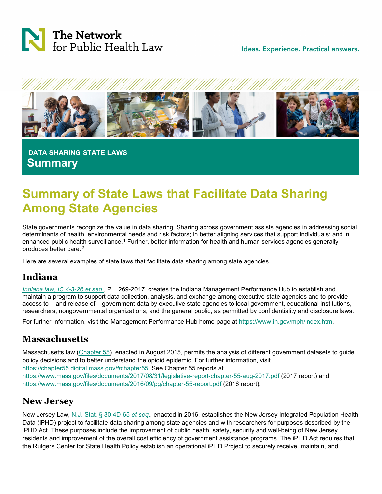

Ideas. Experience. Practical answers.



 **DATA SHARING STATE LAWS Summary**

# **Summary of State Laws that Facilitate Data Sharing Among State Agencies**

State governments recognize the value in data sharing. Sharing across government assists agencies in addressing social determinants of health, environmental needs and risk factors; in better aligning services that support individuals; and in enhanced public health surveillance.[1](#page-3-0) Further, better information for health and human services agencies generally produces better care.[2](#page-3-1) 

Here are several examples of state laws that facilitate data sharing among state agencies.

## **Indiana**

*[Indiana law, IC 4-3-26 et seq.](http://iga.in.gov/legislative/laws/2017/ic/titles/004/#4-3-26-1)*, P.L.269-2017, creates the Indiana Management Performance Hub to establish and maintain a program to support data collection, analysis, and exchange among executive state agencies and to provide access to – and release of – government data by executive state agencies to local government, educational institutions, researchers, nongovernmental organizations, and the general public, as permitted by confidentiality and disclosure laws.

For further information, visit the Management Performance Hub home page at [https://www.in.gov/mph/index.htm.](https://www.in.gov/mph/index.htm)

### **Massachusetts**

Massachusetts law [\(Chapter 55\)](https://malegislature.gov/Laws/SessionLaws/Acts/2015/Chapter55), enacted in August 2015, permits the analysis of different government datasets to guide policy decisions and to better understand the opioid epidemic. For further information, visit [https://chapter55.digital.mass.gov/#chapter55.](https://chapter55.digital.mass.gov/%23chapter55) See Chapter 55 reports at <https://www.mass.gov/files/documents/2017/08/31/legislative-report-chapter-55-aug-2017.pdf> (2017 report) and <https://www.mass.gov/files/documents/2016/09/pg/chapter-55-report.pdf> (2016 report).

### **New Jersey**

New Jersey Law, [N.J. Stat. § 30.4D-65](https://www.njleg.state.nj.us/2014/Bills/PL15/193_.PDF) *et seq*., enacted in 2016, establishes the New Jersey Integrated Population Health Data (iPHD) project to facilitate data sharing among state agencies and with researchers for purposes described by the iPHD Act. These purposes include the improvement of public health, safety, security and well-being of New Jersey residents and improvement of the overall cost efficiency of government assistance programs. The iPHD Act requires that the Rutgers Center for State Health Policy establish an operational iPHD Project to securely receive, maintain, and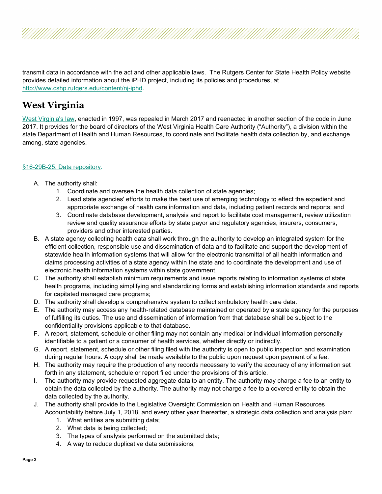transmit data in accordance with the act and other applicable laws. The Rutgers Center for State Health Policy website provides detailed information about the iPHD project, including its policies and procedures, at [http://www.cshp.rutgers.edu/content/nj-iphd.](http://www.cshp.rutgers.edu/content/nj-iphd)

## **West Virginia**

[West Virginia's law,](https://law.justia.com/codes/west-virginia/2009/16/16-29b-6.html) enacted in 1997, was repealed in March 2017 and reenacted in another section of the code in June 2017. It provides for the board of directors of the West Virginia Health Care Authority ("Authority"), a division within the state Department of Health and Human Resources, to coordinate and facilitate health data collection by, and exchange among, state agencies.

#### [§16-29B-25. Data repository.](https://law.justia.com/codes/west-virginia/2018/chapter-16/article-29b/section-16-29b-25/)

- A. The authority shall:
	- 1. Coordinate and oversee the health data collection of state agencies;
	- 2. Lead state agencies' efforts to make the best use of emerging technology to effect the expedient and appropriate exchange of health care information and data, including patient records and reports; and
	- 3. Coordinate database development, analysis and report to facilitate cost management, review utilization review and quality assurance efforts by state payor and regulatory agencies, insurers, consumers, providers and other interested parties.
- B. A state agency collecting health data shall work through the authority to develop an integrated system for the efficient collection, responsible use and dissemination of data and to facilitate and support the development of statewide health information systems that will allow for the electronic transmittal of all health information and claims processing activities of a state agency within the state and to coordinate the development and use of electronic health information systems within state government.
- C. The authority shall establish minimum requirements and issue reports relating to information systems of state health programs, including simplifying and standardizing forms and establishing information standards and reports for capitated managed care programs;
- D. The authority shall develop a comprehensive system to collect ambulatory health care data.
- E. The authority may access any health-related database maintained or operated by a state agency for the purposes of fulfilling its duties. The use and dissemination of information from that database shall be subject to the confidentiality provisions applicable to that database.
- F. A report, statement, schedule or other filing may not contain any medical or individual information personally identifiable to a patient or a consumer of health services, whether directly or indirectly.
- G. A report, statement, schedule or other filing filed with the authority is open to public inspection and examination during regular hours. A copy shall be made available to the public upon request upon payment of a fee.
- H. The authority may require the production of any records necessary to verify the accuracy of any information set forth in any statement, schedule or report filed under the provisions of this article.
- I. The authority may provide requested aggregate data to an entity. The authority may charge a fee to an entity to obtain the data collected by the authority. The authority may not charge a fee to a covered entity to obtain the data collected by the authority.
- J. The authority shall provide to the Legislative Oversight Commission on Health and Human Resources Accountability before July 1, 2018, and every other year thereafter, a strategic data collection and analysis plan:
	- 1. What entities are submitting data;
	- 2. What data is being collected;
	- 3. The types of analysis performed on the submitted data;
	- 4. A way to reduce duplicative data submissions;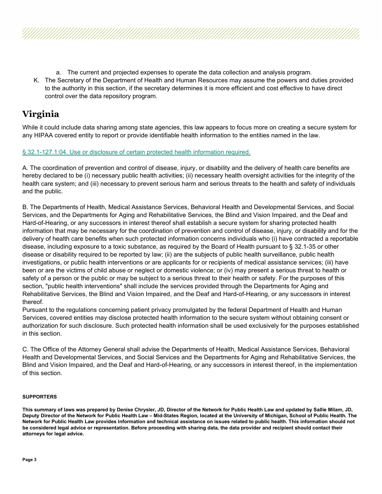- a. The current and projected expenses to operate the data collection and analysis program.
- K. The Secretary of the Department of Health and Human Resources may assume the powers and duties provided to the authority in this section, if the secretary determines it is more efficient and cost effective to have direct control over the data repository program.

# **Virginia**

While it could include data sharing among state agencies, this law appears to focus more on creating a secure system for any HIPAA covered entity to report or provide identifiable health information to the entities named in the law.

#### [§ 32.1-127.1:04. Use or disclosure of certain protected health information required.](https://law.lis.virginia.gov/vacode/title32.1/chapter5/section32.1-127.1:04/)

A. The coordination of prevention and control of disease, injury, or disability and the delivery of health care benefits are hereby declared to be (i) necessary public health activities; (ii) necessary health oversight activities for the integrity of the health care system; and (iii) necessary to prevent serious harm and serious threats to the health and safety of individuals and the public.

B. The Departments of Health, Medical Assistance Services, Behavioral Health and Developmental Services, and Social Services, and the Departments for Aging and Rehabilitative Services, the Blind and Vision Impaired, and the Deaf and Hard-of-Hearing, or any successors in interest thereof shall establish a secure system for sharing protected health information that may be necessary for the coordination of prevention and control of disease, injury, or disability and for the delivery of health care benefits when such protected information concerns individuals who (i) have contracted a reportable disease, including exposure to a toxic substance, as required by the Board of Health pursuant to § 32.1-35 or other disease or disability required to be reported by law; (ii) are the subjects of public health surveillance, public health investigations, or public health interventions or are applicants for or recipients of medical assistance services; (iii) have been or are the victims of child abuse or neglect or domestic violence; or (iv) may present a serious threat to health or safety of a person or the public or may be subject to a serious threat to their health or safety. For the purposes of this section, "public health interventions" shall include the services provided through the Departments for Aging and Rehabilitative Services, the Blind and Vision Impaired, and the Deaf and Hard-of-Hearing, or any successors in interest thereof.

Pursuant to the regulations concerning patient privacy promulgated by the federal Department of Health and Human Services, covered entities may disclose protected health information to the secure system without obtaining consent or authorization for such disclosure. Such protected health information shall be used exclusively for the purposes established in this section.

C. The Office of the Attorney General shall advise the Departments of Health, Medical Assistance Services, Behavioral Health and Developmental Services, and Social Services and the Departments for Aging and Rehabilitative Services, the Blind and Vision Impaired, and the Deaf and Hard-of-Hearing, or any successors in interest thereof, in the implementation of this section.

#### **SUPPORTERS**

**This summary of laws was prepared by Denise Chrysler, JD, Director of the Network for Public Health Law and updated by Sallie Milam, JD, Deputy Director of the Network for Public Health Law – Mid-States Region, located at the University of Michigan, School of Public Health. The Network for Public Health Law provides information and technical assistance on issues related to public health. This information should not be considered legal advice or representation. Before proceeding with sharing data, the data provider and recipient should contact their attorneys for legal advice.**